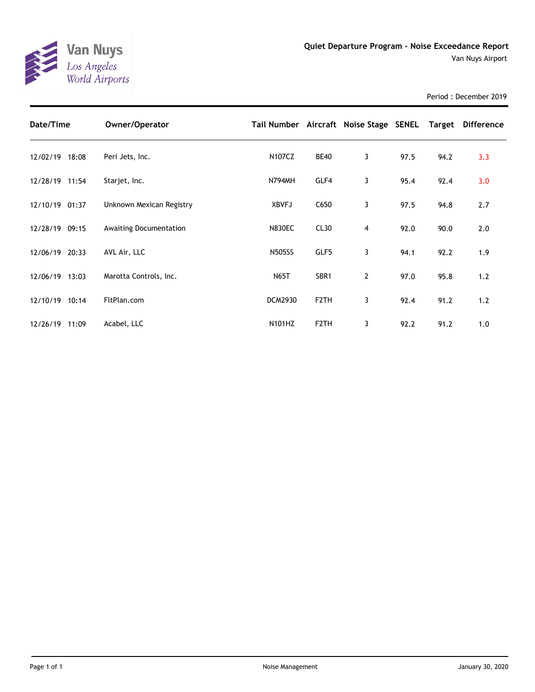

Period : December 2019

| Date/Time      | Owner/Operator                |                |                   | Tail Number Aircraft Noise Stage SENEL Target |      |      | <b>Difference</b> |
|----------------|-------------------------------|----------------|-------------------|-----------------------------------------------|------|------|-------------------|
| 12/02/19 18:08 | Peri Jets, Inc.               | <b>N107CZ</b>  | <b>BE40</b>       | 3                                             | 97.5 | 94.2 | 3.3               |
| 12/28/19 11:54 | Starjet, Inc.                 | <b>N794MH</b>  | GLF4              | 3                                             | 95.4 | 92.4 | 3.0               |
| 12/10/19 01:37 | Unknown Mexican Registry      | <b>XBVFJ</b>   | C650              | 3                                             | 97.5 | 94.8 | 2.7               |
| 12/28/19 09:15 | <b>Awaiting Documentation</b> | <b>N830EC</b>  | CL30              | 4                                             | 92.0 | 90.0 | 2.0               |
| 12/06/19 20:33 | AVL Air, LLC                  | <b>N505SS</b>  | GLF5              | 3                                             | 94.1 | 92.2 | 1.9               |
| 12/06/19 13:03 | Marotta Controls, Inc.        | <b>N65T</b>    | SBR <sub>1</sub>  | $\overline{2}$                                | 97.0 | 95.8 | 1.2               |
| 12/10/19 10:14 | FltPlan.com                   | <b>DCM2930</b> | F <sub>2</sub> TH | 3                                             | 92.4 | 91.2 | 1.2               |
| 12/26/19 11:09 | Acabel, LLC                   | <b>N101HZ</b>  | F <sub>2</sub> TH | 3                                             | 92.2 | 91.2 | 1.0               |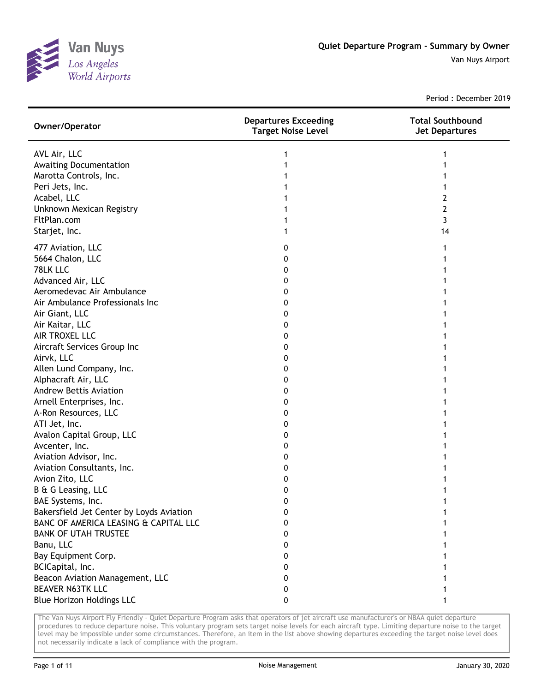

Period : December 2019

| Owner/Operator                           | <b>Departures Exceeding</b><br><b>Target Noise Level</b> | <b>Total Southbound</b><br><b>Jet Departures</b> |
|------------------------------------------|----------------------------------------------------------|--------------------------------------------------|
| AVL Air, LLC                             |                                                          |                                                  |
| <b>Awaiting Documentation</b>            |                                                          |                                                  |
| Marotta Controls, Inc.                   |                                                          |                                                  |
| Peri Jets, Inc.                          |                                                          |                                                  |
| Acabel, LLC                              |                                                          | 2                                                |
| Unknown Mexican Registry                 |                                                          | 2                                                |
| FltPlan.com                              |                                                          | 3                                                |
| Starjet, Inc.                            |                                                          | 14                                               |
| 477 Aviation, LLC                        | 0                                                        | 1                                                |
| 5664 Chalon, LLC                         | 0                                                        |                                                  |
| 78LK LLC                                 | 0                                                        |                                                  |
| Advanced Air, LLC                        | 0                                                        |                                                  |
| Aeromedevac Air Ambulance                | 0                                                        |                                                  |
| Air Ambulance Professionals Inc          | 0                                                        |                                                  |
| Air Giant, LLC                           | 0                                                        |                                                  |
| Air Kaitar, LLC                          | 0                                                        |                                                  |
| AIR TROXEL LLC                           | 0                                                        |                                                  |
| Aircraft Services Group Inc              | 0                                                        |                                                  |
| Airvk, LLC                               | 0                                                        |                                                  |
| Allen Lund Company, Inc.                 | 0                                                        |                                                  |
| Alphacraft Air, LLC                      | 0                                                        |                                                  |
| <b>Andrew Bettis Aviation</b>            | 0                                                        |                                                  |
| Arnell Enterprises, Inc.                 | 0                                                        |                                                  |
| A-Ron Resources, LLC                     | 0                                                        |                                                  |
| ATI Jet, Inc.                            | 0                                                        |                                                  |
| Avalon Capital Group, LLC                | 0                                                        |                                                  |
| Avcenter, Inc.                           | 0                                                        |                                                  |
| Aviation Advisor, Inc.                   | 0                                                        |                                                  |
| Aviation Consultants, Inc.               | 0                                                        |                                                  |
| Avion Zito, LLC<br>B & G Leasing, LLC    | 0<br>0                                                   |                                                  |
| BAE Systems, Inc.                        | ŋ                                                        |                                                  |
| Bakersfield Jet Center by Loyds Aviation | 0                                                        |                                                  |
| BANC OF AMERICA LEASING & CAPITAL LLC    | 0                                                        |                                                  |
| <b>BANK OF UTAH TRUSTEE</b>              | 0                                                        |                                                  |
| Banu, LLC                                | 0                                                        |                                                  |
| Bay Equipment Corp.                      | 0                                                        |                                                  |
| BCICapital, Inc.                         | 0                                                        |                                                  |
| Beacon Aviation Management, LLC          | 0                                                        |                                                  |
| <b>BEAVER N63TK LLC</b>                  | 0                                                        |                                                  |
| <b>Blue Horizon Holdings LLC</b>         | 0                                                        |                                                  |
|                                          |                                                          |                                                  |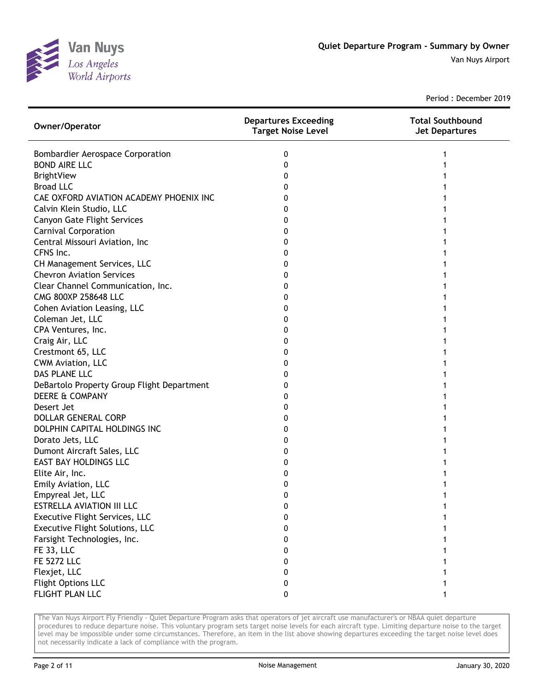

Period : December 2019

| Owner/Operator                             | <b>Departures Exceeding</b><br><b>Target Noise Level</b> | <b>Total Southbound</b><br><b>Jet Departures</b> |
|--------------------------------------------|----------------------------------------------------------|--------------------------------------------------|
| <b>Bombardier Aerospace Corporation</b>    | 0                                                        |                                                  |
| <b>BOND AIRE LLC</b>                       | 0                                                        |                                                  |
| <b>BrightView</b>                          | 0                                                        |                                                  |
| <b>Broad LLC</b>                           | 0                                                        |                                                  |
| CAE OXFORD AVIATION ACADEMY PHOENIX INC    | 0                                                        |                                                  |
| Calvin Klein Studio, LLC                   | 0                                                        |                                                  |
| <b>Canyon Gate Flight Services</b>         | 0                                                        |                                                  |
| <b>Carnival Corporation</b>                | 0                                                        |                                                  |
| Central Missouri Aviation, Inc             | 0                                                        |                                                  |
| CFNS Inc.                                  | 0                                                        |                                                  |
| CH Management Services, LLC                | 0                                                        |                                                  |
| <b>Chevron Aviation Services</b>           | 0                                                        |                                                  |
| Clear Channel Communication, Inc.          | 0                                                        |                                                  |
| CMG 800XP 258648 LLC                       | 0                                                        |                                                  |
| Cohen Aviation Leasing, LLC                | 0                                                        |                                                  |
| Coleman Jet, LLC                           | 0                                                        |                                                  |
| CPA Ventures, Inc.                         | 0                                                        |                                                  |
| Craig Air, LLC                             | 0                                                        |                                                  |
| Crestmont 65, LLC                          | 0                                                        |                                                  |
| CWM Aviation, LLC                          | 0                                                        |                                                  |
| DAS PLANE LLC                              | 0                                                        |                                                  |
| DeBartolo Property Group Flight Department | 0                                                        |                                                  |
| DEERE & COMPANY                            | 0                                                        |                                                  |
| Desert Jet                                 | 0                                                        |                                                  |
| <b>DOLLAR GENERAL CORP</b>                 | 0                                                        |                                                  |
| DOLPHIN CAPITAL HOLDINGS INC               | 0                                                        |                                                  |
| Dorato Jets, LLC                           | 0                                                        |                                                  |
| Dumont Aircraft Sales, LLC                 | 0                                                        |                                                  |
| <b>EAST BAY HOLDINGS LLC</b>               | 0                                                        |                                                  |
| Elite Air, Inc.                            | 0                                                        |                                                  |
| Emily Aviation, LLC                        | 0                                                        |                                                  |
| Empyreal Jet, LLC                          | 0                                                        |                                                  |
| ESTRELLA AVIATION III LLC                  | 0                                                        |                                                  |
| Executive Flight Services, LLC             | 0                                                        |                                                  |
| Executive Flight Solutions, LLC            | 0                                                        |                                                  |
| Farsight Technologies, Inc.                | 0                                                        |                                                  |
| <b>FE 33, LLC</b>                          | 0                                                        |                                                  |
| <b>FE 5272 LLC</b>                         | 0                                                        |                                                  |
| Flexjet, LLC                               | 0                                                        |                                                  |
| Flight Options LLC                         | 0                                                        |                                                  |
| FLIGHT PLAN LLC                            | 0                                                        |                                                  |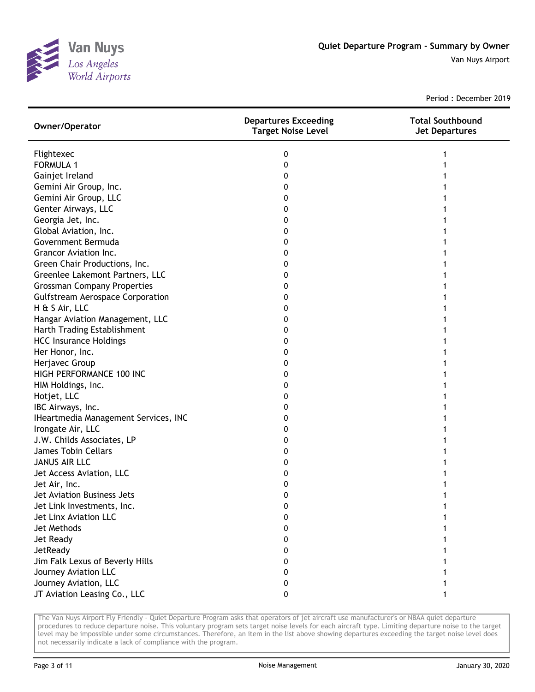

Period : December 2019

| Owner/Operator                          | <b>Departures Exceeding</b><br><b>Target Noise Level</b> | <b>Total Southbound</b><br><b>Jet Departures</b> |
|-----------------------------------------|----------------------------------------------------------|--------------------------------------------------|
| Flightexec                              | 0                                                        |                                                  |
| <b>FORMULA 1</b>                        | 0                                                        |                                                  |
| Gainjet Ireland                         | 0                                                        |                                                  |
| Gemini Air Group, Inc.                  | 0                                                        |                                                  |
| Gemini Air Group, LLC                   | 0                                                        |                                                  |
| Genter Airways, LLC                     | 0                                                        |                                                  |
| Georgia Jet, Inc.                       | 0                                                        |                                                  |
| Global Aviation, Inc.                   | 0                                                        |                                                  |
| Government Bermuda                      | 0                                                        |                                                  |
| Grancor Aviation Inc.                   | 0                                                        |                                                  |
| Green Chair Productions, Inc.           | Ω                                                        |                                                  |
| Greenlee Lakemont Partners, LLC         | 0                                                        |                                                  |
| <b>Grossman Company Properties</b>      | 0                                                        |                                                  |
| <b>Gulfstream Aerospace Corporation</b> | 0                                                        |                                                  |
| H & S Air, LLC                          | 0                                                        |                                                  |
| Hangar Aviation Management, LLC         | 0                                                        |                                                  |
| Harth Trading Establishment             | 0                                                        |                                                  |
| <b>HCC Insurance Holdings</b>           | 0                                                        |                                                  |
| Her Honor, Inc.                         | 0                                                        |                                                  |
| Herjavec Group                          | 0                                                        |                                                  |
| HIGH PERFORMANCE 100 INC                | 0                                                        |                                                  |
| HIM Holdings, Inc.                      | 0                                                        |                                                  |
| Hotjet, LLC                             | 0                                                        |                                                  |
| IBC Airways, Inc.                       | 0                                                        |                                                  |
| IHeartmedia Management Services, INC    | 0                                                        |                                                  |
| Irongate Air, LLC                       | 0                                                        |                                                  |
| J.W. Childs Associates, LP              | 0                                                        |                                                  |
| James Tobin Cellars                     | 0                                                        |                                                  |
| <b>JANUS AIR LLC</b>                    | 0                                                        |                                                  |
| Jet Access Aviation, LLC                | 0                                                        |                                                  |
| Jet Air, Inc.                           | 0                                                        |                                                  |
| Jet Aviation Business Jets              | 0                                                        |                                                  |
| Jet Link Investments, Inc.              | 0                                                        |                                                  |
| Jet Linx Aviation LLC                   | 0                                                        |                                                  |
| Jet Methods                             | 0                                                        |                                                  |
| Jet Ready                               | 0                                                        |                                                  |
| JetReady                                | 0                                                        |                                                  |
| Jim Falk Lexus of Beverly Hills         | 0                                                        |                                                  |
| Journey Aviation LLC                    | 0                                                        |                                                  |
| Journey Aviation, LLC                   | 0                                                        |                                                  |
| JT Aviation Leasing Co., LLC            | 0                                                        |                                                  |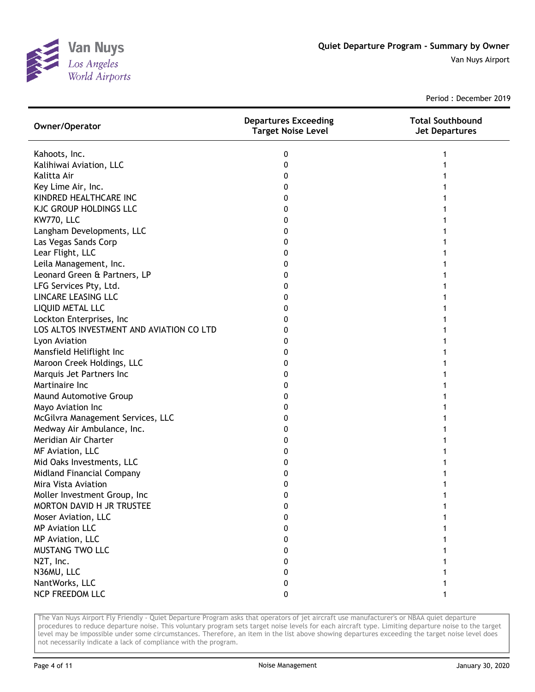

Period : December 2019

| Owner/Operator                           | <b>Departures Exceeding</b><br><b>Target Noise Level</b> | <b>Total Southbound</b><br><b>Jet Departures</b> |
|------------------------------------------|----------------------------------------------------------|--------------------------------------------------|
| Kahoots, Inc.                            | 0                                                        |                                                  |
| Kalihiwai Aviation, LLC                  | 0                                                        |                                                  |
| Kalitta Air                              | 0                                                        |                                                  |
| Key Lime Air, Inc.                       | 0                                                        |                                                  |
| KINDRED HEALTHCARE INC                   | 0                                                        |                                                  |
| <b>KJC GROUP HOLDINGS LLC</b>            | 0                                                        |                                                  |
| <b>KW770, LLC</b>                        | 0                                                        |                                                  |
| Langham Developments, LLC                | 0                                                        |                                                  |
| Las Vegas Sands Corp                     | 0                                                        |                                                  |
| Lear Flight, LLC                         | 0                                                        |                                                  |
| Leila Management, Inc.                   | 0                                                        |                                                  |
| Leonard Green & Partners, LP             | 0                                                        |                                                  |
| LFG Services Pty, Ltd.                   | 0                                                        |                                                  |
| LINCARE LEASING LLC                      | 0                                                        |                                                  |
| LIQUID METAL LLC                         | 0                                                        |                                                  |
| Lockton Enterprises, Inc                 | 0                                                        |                                                  |
| LOS ALTOS INVESTMENT AND AVIATION CO LTD | 0                                                        |                                                  |
| Lyon Aviation                            | 0                                                        |                                                  |
| Mansfield Heliflight Inc                 | 0                                                        |                                                  |
| Maroon Creek Holdings, LLC               | 0                                                        |                                                  |
| Marquis Jet Partners Inc                 | 0                                                        |                                                  |
| Martinaire Inc                           | 0                                                        |                                                  |
| Maund Automotive Group                   | 0                                                        |                                                  |
| Mayo Aviation Inc                        | 0                                                        |                                                  |
| McGilvra Management Services, LLC        | 0                                                        |                                                  |
| Medway Air Ambulance, Inc.               | 0                                                        |                                                  |
| Meridian Air Charter                     | 0                                                        |                                                  |
| MF Aviation, LLC                         | 0                                                        |                                                  |
| Mid Oaks Investments, LLC                | 0                                                        |                                                  |
| Midland Financial Company                | 0                                                        |                                                  |
| Mira Vista Aviation                      | 0                                                        |                                                  |
| Moller Investment Group, Inc             | 0                                                        |                                                  |
| MORTON DAVID H JR TRUSTEE                | 0                                                        |                                                  |
| Moser Aviation, LLC                      | 0                                                        |                                                  |
| <b>MP Aviation LLC</b>                   | 0                                                        |                                                  |
| MP Aviation, LLC                         | 0                                                        |                                                  |
| MUSTANG TWO LLC                          | 0                                                        |                                                  |
| N2T, Inc.                                | 0                                                        |                                                  |
| N36MU, LLC                               | 0                                                        |                                                  |
| NantWorks, LLC                           | 0                                                        |                                                  |
| NCP FREEDOM LLC                          | 0                                                        |                                                  |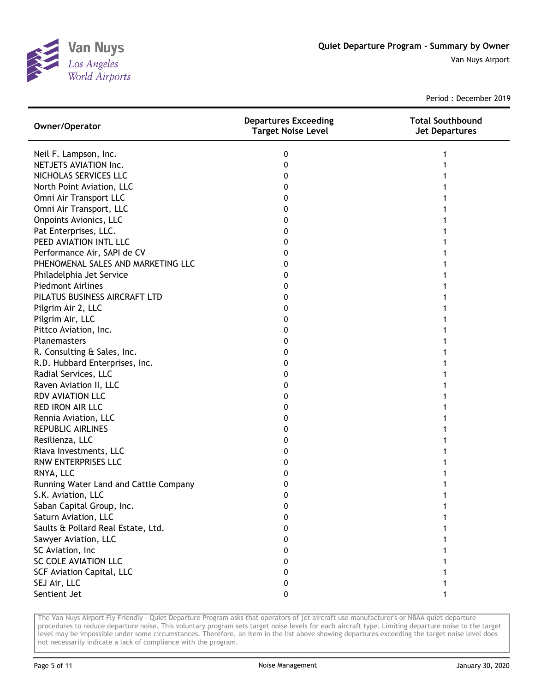

Period : December 2019

| Owner/Operator                        | <b>Departures Exceeding</b><br><b>Target Noise Level</b> | <b>Total Southbound</b><br><b>Jet Departures</b> |
|---------------------------------------|----------------------------------------------------------|--------------------------------------------------|
| Neil F. Lampson, Inc.                 | 0                                                        |                                                  |
| NETJETS AVIATION Inc.                 | 0                                                        |                                                  |
| NICHOLAS SERVICES LLC                 | 0                                                        |                                                  |
| North Point Aviation, LLC             | 0                                                        |                                                  |
| Omni Air Transport LLC                | 0                                                        |                                                  |
| Omni Air Transport, LLC               | 0                                                        |                                                  |
| <b>Onpoints Avionics, LLC</b>         | 0                                                        |                                                  |
| Pat Enterprises, LLC.                 | 0                                                        |                                                  |
| PEED AVIATION INTL LLC                | 0                                                        |                                                  |
| Performance Air, SAPI de CV           | 0                                                        |                                                  |
| PHENOMENAL SALES AND MARKETING LLC    | 0                                                        |                                                  |
| Philadelphia Jet Service              | 0                                                        |                                                  |
| <b>Piedmont Airlines</b>              | 0                                                        |                                                  |
| PILATUS BUSINESS AIRCRAFT LTD         | 0                                                        |                                                  |
| Pilgrim Air 2, LLC                    | 0                                                        |                                                  |
| Pilgrim Air, LLC                      | 0                                                        |                                                  |
| Pittco Aviation, Inc.                 | 0                                                        |                                                  |
| <b>Planemasters</b>                   | 0                                                        |                                                  |
| R. Consulting & Sales, Inc.           | 0                                                        |                                                  |
| R.D. Hubbard Enterprises, Inc.        | 0                                                        |                                                  |
| Radial Services, LLC                  | 0                                                        |                                                  |
| Raven Aviation II, LLC                | 0                                                        |                                                  |
| RDV AVIATION LLC                      | 0                                                        |                                                  |
| <b>RED IRON AIR LLC</b>               | 0                                                        |                                                  |
| Rennia Aviation, LLC                  | 0                                                        |                                                  |
| <b>REPUBLIC AIRLINES</b>              | 0                                                        |                                                  |
| Resilienza, LLC                       | 0                                                        |                                                  |
| Riava Investments, LLC                | 0                                                        |                                                  |
| RNW ENTERPRISES LLC                   | 0                                                        |                                                  |
| RNYA, LLC                             | 0                                                        |                                                  |
| Running Water Land and Cattle Company | 0                                                        |                                                  |
| S.K. Aviation, LLC                    | 0                                                        |                                                  |
| Saban Capital Group, Inc.             | 0                                                        |                                                  |
| Saturn Aviation, LLC                  | o                                                        |                                                  |
| Saults & Pollard Real Estate, Ltd.    | 0                                                        |                                                  |
| Sawyer Aviation, LLC                  | 0                                                        |                                                  |
| SC Aviation, Inc                      | 0                                                        |                                                  |
| SC COLE AVIATION LLC                  | 0                                                        |                                                  |
| <b>SCF Aviation Capital, LLC</b>      | 0                                                        |                                                  |
| SEJ Air, LLC                          | 0                                                        |                                                  |
| Sentient Jet                          | 0                                                        |                                                  |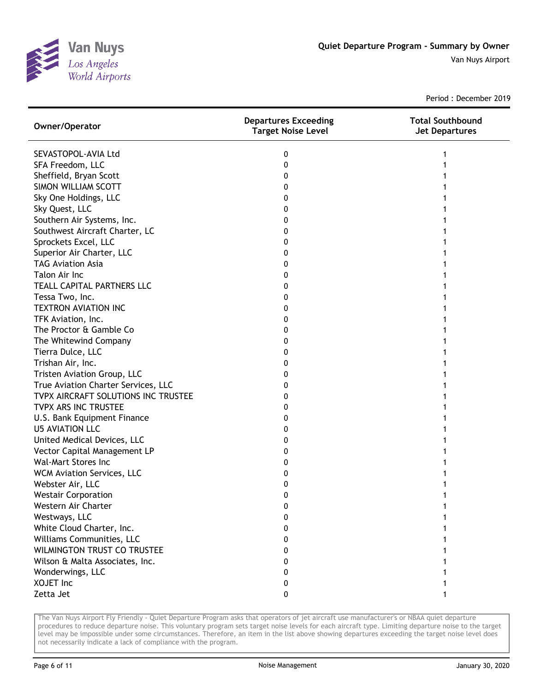

Period : December 2019

| Owner/Operator                      | <b>Departures Exceeding</b><br><b>Target Noise Level</b> | <b>Total Southbound</b><br><b>Jet Departures</b> |
|-------------------------------------|----------------------------------------------------------|--------------------------------------------------|
| SEVASTOPOL-AVIA Ltd                 | 0                                                        |                                                  |
| SFA Freedom, LLC                    | 0                                                        |                                                  |
| Sheffield, Bryan Scott              | 0                                                        |                                                  |
| SIMON WILLIAM SCOTT                 | 0                                                        |                                                  |
| Sky One Holdings, LLC               | 0                                                        |                                                  |
| Sky Quest, LLC                      | 0                                                        |                                                  |
| Southern Air Systems, Inc.          | 0                                                        |                                                  |
| Southwest Aircraft Charter, LC      | 0                                                        |                                                  |
| Sprockets Excel, LLC                | 0                                                        |                                                  |
| Superior Air Charter, LLC           | 0                                                        |                                                  |
| <b>TAG Aviation Asia</b>            | 0                                                        |                                                  |
| Talon Air Inc                       | 0                                                        |                                                  |
| TEALL CAPITAL PARTNERS LLC          | 0                                                        |                                                  |
| Tessa Two, Inc.                     | 0                                                        |                                                  |
| <b>TEXTRON AVIATION INC</b>         | 0                                                        |                                                  |
| TFK Aviation, Inc.                  | 0                                                        |                                                  |
| The Proctor & Gamble Co             | 0                                                        |                                                  |
| The Whitewind Company               | 0                                                        |                                                  |
| Tierra Dulce, LLC                   | 0                                                        |                                                  |
| Trishan Air, Inc.                   | 0                                                        |                                                  |
| Tristen Aviation Group, LLC         | 0                                                        |                                                  |
| True Aviation Charter Services, LLC | 0                                                        |                                                  |
| TVPX AIRCRAFT SOLUTIONS INC TRUSTEE | 0                                                        |                                                  |
| TVPX ARS INC TRUSTEE                | 0                                                        |                                                  |
| U.S. Bank Equipment Finance         | 0                                                        |                                                  |
| <b>U5 AVIATION LLC</b>              | 0                                                        |                                                  |
| United Medical Devices, LLC         | 0                                                        |                                                  |
| Vector Capital Management LP        | 0                                                        |                                                  |
| <b>Wal-Mart Stores Inc</b>          | 0                                                        |                                                  |
| WCM Aviation Services, LLC          | 0                                                        |                                                  |
| Webster Air, LLC                    | 0                                                        |                                                  |
| <b>Westair Corporation</b>          | 0                                                        |                                                  |
| Western Air Charter                 | 0                                                        |                                                  |
| Westways, LLC                       | 0                                                        |                                                  |
| White Cloud Charter, Inc.           | 0                                                        |                                                  |
| Williams Communities, LLC           | 0                                                        |                                                  |
| <b>WILMINGTON TRUST CO TRUSTEE</b>  | 0                                                        |                                                  |
| Wilson & Malta Associates, Inc.     | 0                                                        |                                                  |
| Wonderwings, LLC                    | 0                                                        |                                                  |
| XOJET Inc                           | 0                                                        |                                                  |
| Zetta Jet                           | 0                                                        |                                                  |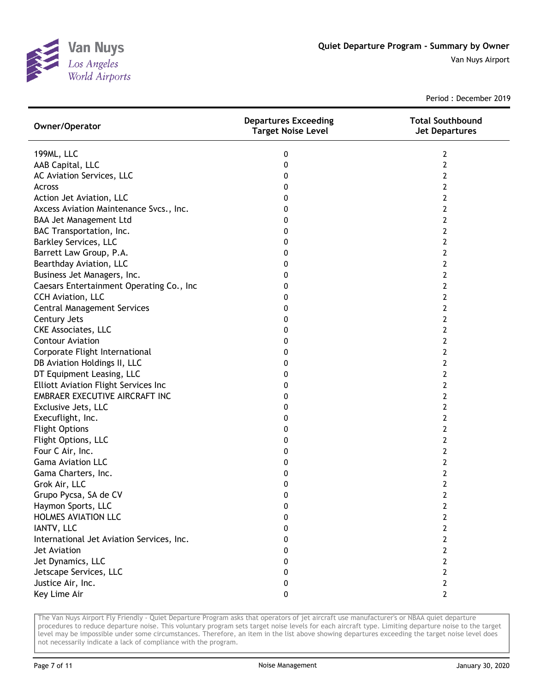

Period : December 2019

| Owner/Operator                              | <b>Departures Exceeding</b><br><b>Target Noise Level</b> | <b>Total Southbound</b><br><b>Jet Departures</b> |
|---------------------------------------------|----------------------------------------------------------|--------------------------------------------------|
| 199ML, LLC                                  | 0                                                        | 2                                                |
| AAB Capital, LLC                            | 0                                                        | 2                                                |
| AC Aviation Services, LLC                   | 0                                                        | 2                                                |
| Across                                      | 0                                                        | 2                                                |
| Action Jet Aviation, LLC                    | 0                                                        | 2                                                |
| Axcess Aviation Maintenance Svcs., Inc.     | 0                                                        | $\mathbf{2}$                                     |
| BAA Jet Management Ltd                      | 0                                                        | 2                                                |
| BAC Transportation, Inc.                    | 0                                                        | 2                                                |
| <b>Barkley Services, LLC</b>                | 0                                                        | 2                                                |
| Barrett Law Group, P.A.                     | 0                                                        | 2                                                |
| Bearthday Aviation, LLC                     | 0                                                        | 2                                                |
| Business Jet Managers, Inc.                 | 0                                                        | 2                                                |
| Caesars Entertainment Operating Co., Inc    | 0                                                        | 2                                                |
| CCH Aviation, LLC                           | 0                                                        | 2                                                |
| <b>Central Management Services</b>          | 0                                                        | 2                                                |
| Century Jets                                | 0                                                        | $\mathbf{2}$                                     |
| <b>CKE Associates, LLC</b>                  | 0                                                        | 2                                                |
| <b>Contour Aviation</b>                     | 0                                                        | 2                                                |
| Corporate Flight International              | 0                                                        | 2                                                |
| DB Aviation Holdings II, LLC                | 0                                                        | 2                                                |
| DT Equipment Leasing, LLC                   | 0                                                        | 2                                                |
| <b>Elliott Aviation Flight Services Inc</b> | 0                                                        | 2                                                |
| EMBRAER EXECUTIVE AIRCRAFT INC              | 0                                                        | 2                                                |
| Exclusive Jets, LLC                         | 0                                                        | 2                                                |
| Execuflight, Inc.                           | 0                                                        | 2                                                |
| <b>Flight Options</b>                       | 0                                                        | $\mathbf{2}$                                     |
| Flight Options, LLC                         | 0                                                        | 2                                                |
| Four C Air, Inc.                            | 0                                                        | 2                                                |
| <b>Gama Aviation LLC</b>                    | 0                                                        | 2                                                |
| Gama Charters, Inc.                         | 0                                                        | 2                                                |
| Grok Air, LLC                               | 0                                                        | $\mathbf{2}$                                     |
| Grupo Pycsa, SA de CV                       | 0                                                        | $\mathbf{2}$                                     |
| Haymon Sports, LLC                          | 0                                                        | 2                                                |
| HOLMES AVIATION LLC                         | 0                                                        | 2                                                |
| IANTV, LLC                                  | 0                                                        | 2                                                |
| International Jet Aviation Services, Inc.   | 0                                                        | 2                                                |
| Jet Aviation                                | 0                                                        | 2                                                |
| Jet Dynamics, LLC                           | 0                                                        | 2                                                |
| Jetscape Services, LLC                      | 0                                                        | 2                                                |
| Justice Air, Inc.                           | 0                                                        | $\mathbf{2}$                                     |
| Key Lime Air                                | 0                                                        | $\overline{2}$                                   |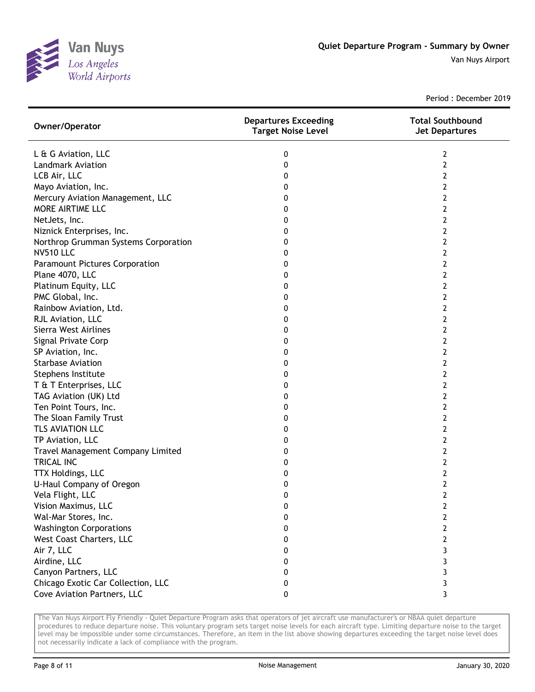

Period : December 2019

| Owner/Operator                        | <b>Departures Exceeding</b><br><b>Target Noise Level</b> | <b>Total Southbound</b><br><b>Jet Departures</b> |
|---------------------------------------|----------------------------------------------------------|--------------------------------------------------|
| L & G Aviation, LLC                   | 0                                                        | 2                                                |
| <b>Landmark Aviation</b>              | 0                                                        | $\overline{2}$                                   |
| LCB Air, LLC                          | 0                                                        | 2                                                |
| Mayo Aviation, Inc.                   | 0                                                        | 2                                                |
| Mercury Aviation Management, LLC      | 0                                                        | 2                                                |
| MORE AIRTIME LLC                      | 0                                                        | 2                                                |
| NetJets, Inc.                         | 0                                                        | 2                                                |
| Niznick Enterprises, Inc.             | 0                                                        | 2                                                |
| Northrop Grumman Systems Corporation  | 0                                                        | 2                                                |
| <b>NV510 LLC</b>                      | 0                                                        | 2                                                |
| <b>Paramount Pictures Corporation</b> | 0                                                        | 2                                                |
| Plane 4070, LLC                       | 0                                                        | 2                                                |
| Platinum Equity, LLC                  | 0                                                        | 2                                                |
| PMC Global, Inc.                      | 0                                                        | 2                                                |
| Rainbow Aviation, Ltd.                | 0                                                        | 2                                                |
| RJL Aviation, LLC                     | 0                                                        | 2                                                |
| Sierra West Airlines                  | 0                                                        | 2                                                |
| Signal Private Corp                   | 0                                                        | 2                                                |
| SP Aviation, Inc.                     | 0                                                        | $\overline{2}$                                   |
| <b>Starbase Aviation</b>              | 0                                                        | $\overline{2}$                                   |
| Stephens Institute                    | 0                                                        | $\overline{2}$                                   |
| T & T Enterprises, LLC                | 0                                                        | $\overline{2}$                                   |
| TAG Aviation (UK) Ltd                 | 0                                                        | 2                                                |
| Ten Point Tours, Inc.                 | 0                                                        | 2                                                |
| The Sloan Family Trust                | 0                                                        | $\overline{2}$                                   |
| TLS AVIATION LLC                      | 0                                                        | 2                                                |
| TP Aviation, LLC                      | 0                                                        | 2                                                |
| Travel Management Company Limited     | 0                                                        | 2                                                |
| <b>TRICAL INC</b>                     | 0                                                        | 2                                                |
| TTX Holdings, LLC                     | 0                                                        | 2                                                |
| U-Haul Company of Oregon              | 0                                                        | 2                                                |
| Vela Flight, LLC                      | 0                                                        | 2                                                |
| Vision Maximus, LLC                   | 0                                                        | 2                                                |
| Wal-Mar Stores, Inc.                  | 0                                                        | 2                                                |
| <b>Washington Corporations</b>        | 0                                                        | 2                                                |
| West Coast Charters, LLC              | 0                                                        | 2                                                |
| Air 7, LLC                            | 0                                                        | 3                                                |
| Airdine, LLC                          | 0                                                        | 3                                                |
| Canyon Partners, LLC                  | 0                                                        | 3                                                |
| Chicago Exotic Car Collection, LLC    | 0                                                        | 3                                                |
| Cove Aviation Partners, LLC           | 0                                                        | 3                                                |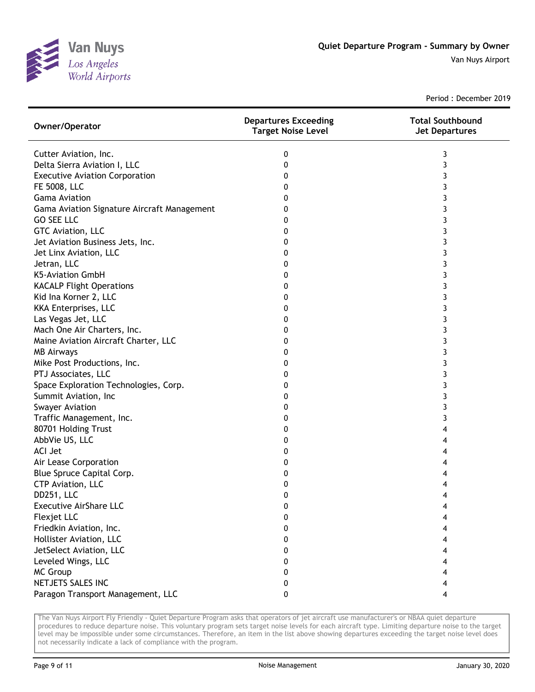

Period : December 2019

| Owner/Operator                              | <b>Departures Exceeding</b><br><b>Target Noise Level</b> | <b>Total Southbound</b><br><b>Jet Departures</b> |
|---------------------------------------------|----------------------------------------------------------|--------------------------------------------------|
| Cutter Aviation, Inc.                       | 0                                                        | 3                                                |
| Delta Sierra Aviation I, LLC                | 0                                                        | 3                                                |
| <b>Executive Aviation Corporation</b>       | 0                                                        | 3                                                |
| FE 5008, LLC                                | 0                                                        | 3                                                |
| <b>Gama Aviation</b>                        | 0                                                        | 3                                                |
| Gama Aviation Signature Aircraft Management | 0                                                        | 3                                                |
| <b>GO SEE LLC</b>                           | 0                                                        | 3                                                |
| GTC Aviation, LLC                           | 0                                                        | 3                                                |
| Jet Aviation Business Jets, Inc.            | 0                                                        | 3                                                |
| Jet Linx Aviation, LLC                      | 0                                                        | 3                                                |
| Jetran, LLC                                 | 0                                                        | 3                                                |
| K5-Aviation GmbH                            | 0                                                        | 3                                                |
| <b>KACALP Flight Operations</b>             | 0                                                        | 3                                                |
| Kid Ina Korner 2, LLC                       | 0                                                        | 3                                                |
| KKA Enterprises, LLC                        | 0                                                        | 3                                                |
| Las Vegas Jet, LLC                          | 0                                                        | 3                                                |
| Mach One Air Charters, Inc.                 | 0                                                        | 3                                                |
| Maine Aviation Aircraft Charter, LLC        | 0                                                        | 3                                                |
| <b>MB Airways</b>                           | 0                                                        | 3                                                |
| Mike Post Productions, Inc.                 | 0                                                        | 3                                                |
| PTJ Associates, LLC                         | 0                                                        | 3                                                |
| Space Exploration Technologies, Corp.       | 0                                                        | 3                                                |
| Summit Aviation, Inc                        | 0                                                        | 3                                                |
| <b>Swayer Aviation</b>                      | 0                                                        | 3                                                |
| Traffic Management, Inc.                    | 0                                                        | 3                                                |
| 80701 Holding Trust                         | 0                                                        | 4                                                |
| AbbVie US, LLC                              | 0                                                        | 4                                                |
| <b>ACI Jet</b>                              | 0                                                        | 4                                                |
| Air Lease Corporation                       | 0                                                        | 4                                                |
| Blue Spruce Capital Corp.                   | 0                                                        | 4                                                |
| CTP Aviation, LLC                           | 0                                                        | 4                                                |
| DD251, LLC                                  | 0                                                        | 4                                                |
| <b>Executive AirShare LLC</b>               | 0                                                        | 4                                                |
| Flexjet LLC                                 | 0                                                        |                                                  |
| Friedkin Aviation, Inc.                     | 0                                                        |                                                  |
| Hollister Aviation, LLC                     | 0                                                        | 4                                                |
| JetSelect Aviation, LLC                     | 0                                                        | 4                                                |
| Leveled Wings, LLC                          | 0                                                        | 4                                                |
| <b>MC Group</b>                             | 0                                                        | 4                                                |
| NETJETS SALES INC                           | 0                                                        | 4                                                |
| Paragon Transport Management, LLC           | 0                                                        | 4                                                |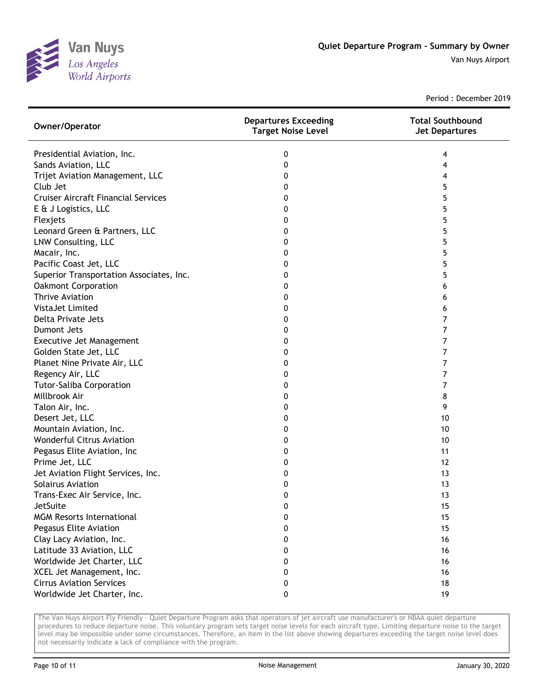

Period : December 2019

| Owner/Operator                             | <b>Departures Exceeding</b><br><b>Target Noise Level</b> | <b>Total Southbound</b><br><b>Jet Departures</b> |
|--------------------------------------------|----------------------------------------------------------|--------------------------------------------------|
| Presidential Aviation, Inc.                | 0                                                        | 4                                                |
| Sands Aviation, LLC                        | 0                                                        | 4                                                |
| Trijet Aviation Management, LLC            | 0                                                        | 4                                                |
| Club Jet                                   | 0                                                        | 5                                                |
| <b>Cruiser Aircraft Financial Services</b> | 0                                                        | 5                                                |
| E & J Logistics, LLC                       | 0                                                        | 5                                                |
| Flexjets                                   | 0                                                        | 5                                                |
| Leonard Green & Partners, LLC              | 0                                                        | 5                                                |
| LNW Consulting, LLC                        | 0                                                        | 5                                                |
| Macair, Inc.                               | 0                                                        | 5                                                |
| Pacific Coast Jet, LLC                     | 0                                                        | 5                                                |
| Superior Transportation Associates, Inc.   | 0                                                        | 5                                                |
| <b>Oakmont Corporation</b>                 | 0                                                        | 6                                                |
| <b>Thrive Aviation</b>                     | 0                                                        | 6                                                |
| VistaJet Limited                           | 0                                                        | 6                                                |
| Delta Private Jets                         | 0                                                        | 7                                                |
| Dumont Jets                                | 0                                                        | 7                                                |
| Executive Jet Management                   | 0                                                        | 7                                                |
| Golden State Jet, LLC                      | 0                                                        | 7                                                |
| Planet Nine Private Air, LLC               | 0                                                        | 7                                                |
| Regency Air, LLC                           | 0                                                        | 7                                                |
| <b>Tutor-Saliba Corporation</b>            | 0                                                        | 7                                                |
| Millbrook Air                              | 0                                                        | 8                                                |
| Talon Air, Inc.                            | 0                                                        | 9                                                |
| Desert Jet, LLC                            | 0                                                        | 10                                               |
| Mountain Aviation, Inc.                    | 0                                                        | 10                                               |
| <b>Wonderful Citrus Aviation</b>           | 0                                                        | 10                                               |
| Pegasus Elite Aviation, Inc                | 0                                                        | 11                                               |
| Prime Jet, LLC                             | 0                                                        | 12                                               |
| Jet Aviation Flight Services, Inc.         | 0                                                        | 13                                               |
| <b>Solairus Aviation</b>                   | 0                                                        | 13                                               |
| Trans-Exec Air Service, Inc.               | 0                                                        | 13                                               |
| JetSuite                                   | 0                                                        | 15                                               |
| <b>MGM Resorts International</b>           | 0                                                        | 15                                               |
| Pegasus Elite Aviation                     | 0                                                        | 15                                               |
| Clay Lacy Aviation, Inc.                   | 0                                                        | 16                                               |
| Latitude 33 Aviation, LLC                  | 0                                                        | 16                                               |
| Worldwide Jet Charter, LLC                 | 0                                                        | 16                                               |
| XCEL Jet Management, Inc.                  | 0                                                        | 16                                               |
| <b>Cirrus Aviation Services</b>            | 0                                                        | 18                                               |
| Worldwide Jet Charter, Inc.                | 0                                                        | 19                                               |